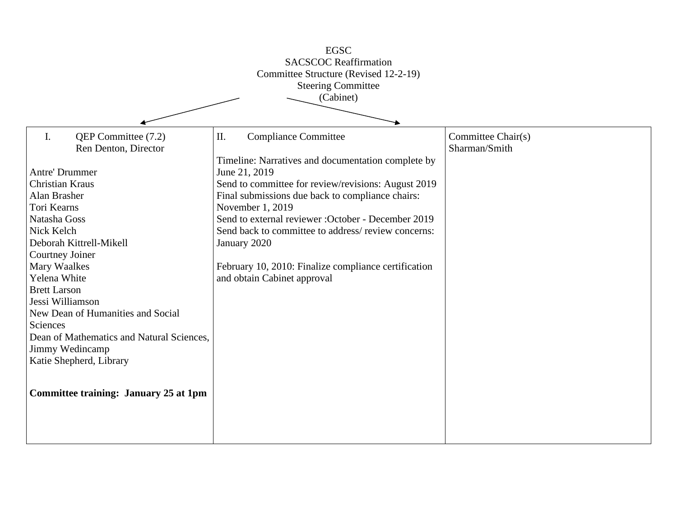| <b>EGSC</b><br><b>SACSCOC Reaffirmation</b><br>Committee Structure (Revised 12-2-19)<br><b>Steering Committee</b><br>(Cabinet)                                                                                                                                                                                                                                                                                                                                    |                                                                                                                                                                                                                                                                                                                                                                                                                                                             |                                     |
|-------------------------------------------------------------------------------------------------------------------------------------------------------------------------------------------------------------------------------------------------------------------------------------------------------------------------------------------------------------------------------------------------------------------------------------------------------------------|-------------------------------------------------------------------------------------------------------------------------------------------------------------------------------------------------------------------------------------------------------------------------------------------------------------------------------------------------------------------------------------------------------------------------------------------------------------|-------------------------------------|
| QEP Committee (7.2)<br>I.<br>Ren Denton, Director<br>Antre' Drummer<br>Christian Kraus<br>Alan Brasher<br>Tori Kearns<br>Natasha Goss<br>Nick Kelch<br>Deborah Kittrell-Mikell<br>Courtney Joiner<br>Mary Waalkes<br>Yelena White<br><b>Brett Larson</b><br>Jessi Williamson<br>New Dean of Humanities and Social<br>Sciences<br>Dean of Mathematics and Natural Sciences,<br>Jimmy Wedincamp<br>Katie Shepherd, Library<br>Committee training: January 25 at 1pm | Π.<br><b>Compliance Committee</b><br>Timeline: Narratives and documentation complete by<br>June 21, 2019<br>Send to committee for review/revisions: August 2019<br>Final submissions due back to compliance chairs:<br>November 1, 2019<br>Send to external reviewer : October - December 2019<br>Send back to committee to address/review concerns:<br>January 2020<br>February 10, 2010: Finalize compliance certification<br>and obtain Cabinet approval | Committee Chair(s)<br>Sharman/Smith |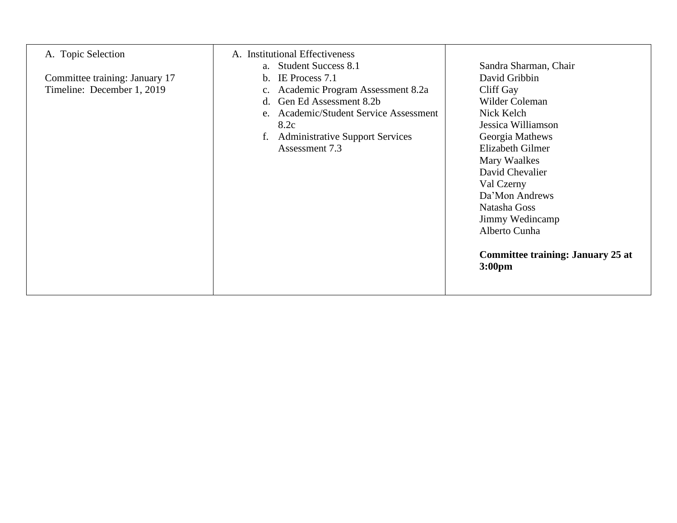| A. Topic Selection<br>Committee training: January 17<br>Timeline: December 1, 2019 | A. Institutional Effectiveness<br>a. Student Success 8.1<br>IE Process 7.1<br>$\mathbf{b}$ .<br>Academic Program Assessment 8.2a<br>Gen Ed Assessment 8.2b<br>$d_{\cdot}$<br>e. Academic/Student Service Assessment<br>8.2c<br><b>Administrative Support Services</b><br>f.<br>Assessment 7.3 | Sandra Sharman, Chair<br>David Gribbin<br>Cliff Gay<br>Wilder Coleman<br>Nick Kelch<br>Jessica Williamson<br>Georgia Mathews<br>Elizabeth Gilmer<br>Mary Waalkes<br>David Chevalier<br>Val Czerny<br>Da'Mon Andrews<br>Natasha Goss<br>Jimmy Wedincamp<br>Alberto Cunha |
|------------------------------------------------------------------------------------|-----------------------------------------------------------------------------------------------------------------------------------------------------------------------------------------------------------------------------------------------------------------------------------------------|-------------------------------------------------------------------------------------------------------------------------------------------------------------------------------------------------------------------------------------------------------------------------|
|                                                                                    |                                                                                                                                                                                                                                                                                               | <b>Committee training: January 25 at</b><br>3:00 <sub>pm</sub>                                                                                                                                                                                                          |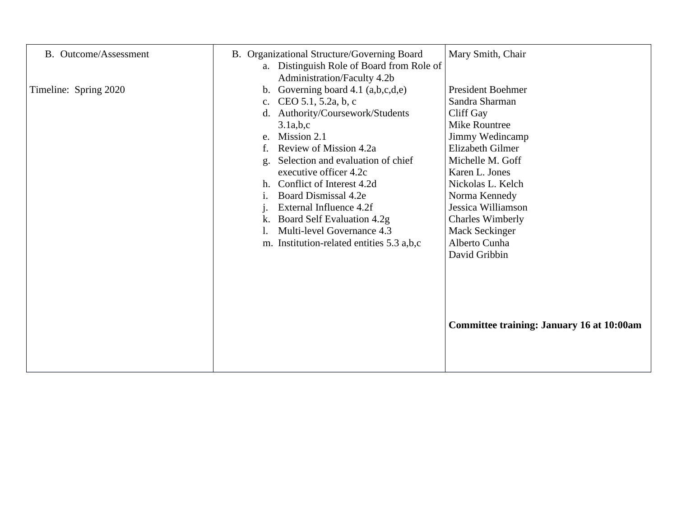| <b>B.</b> Outcome/Assessment | B. Organizational Structure/Governing Board<br>a. Distinguish Role of Board from Role of<br>Administration/Faculty 4.2b                                                                                                                                                                                                                                                                                                                            | Mary Smith, Chair                                                                                                                                                                                                                                                                                       |
|------------------------------|----------------------------------------------------------------------------------------------------------------------------------------------------------------------------------------------------------------------------------------------------------------------------------------------------------------------------------------------------------------------------------------------------------------------------------------------------|---------------------------------------------------------------------------------------------------------------------------------------------------------------------------------------------------------------------------------------------------------------------------------------------------------|
| Timeline: Spring 2020        | Governing board $4.1$ (a,b,c,d,e)<br>b.<br>c. CEO 5.1, 5.2a, b, c<br>Authority/Coursework/Students<br>d.<br>3.1a,b,c<br>Mission 2.1<br>e.<br>Review of Mission 4.2a<br>Selection and evaluation of chief<br>g<br>executive officer 4.2c<br>Conflict of Interest 4.2d<br>h.<br>Board Dismissal 4.2e<br>1.<br>External Influence 4.2f<br>Board Self Evaluation 4.2g<br>k.<br>Multi-level Governance 4.3<br>m. Institution-related entities 5.3 a,b,c | <b>President Boehmer</b><br>Sandra Sharman<br>Cliff Gay<br>Mike Rountree<br>Jimmy Wedincamp<br>Elizabeth Gilmer<br>Michelle M. Goff<br>Karen L. Jones<br>Nickolas L. Kelch<br>Norma Kennedy<br>Jessica Williamson<br><b>Charles Wimberly</b><br><b>Mack Seckinger</b><br>Alberto Cunha<br>David Gribbin |
|                              |                                                                                                                                                                                                                                                                                                                                                                                                                                                    | <b>Committee training: January 16 at 10:00am</b>                                                                                                                                                                                                                                                        |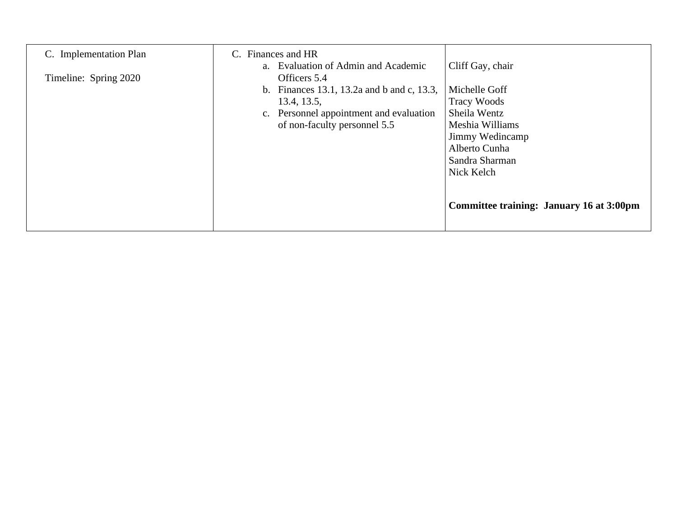| C. Implementation Plan | Finances and HR<br>C.<br>a. Evaluation of Admin and Academic                                                                                         | Cliff Gay, chair                                                                                                                                                                       |
|------------------------|------------------------------------------------------------------------------------------------------------------------------------------------------|----------------------------------------------------------------------------------------------------------------------------------------------------------------------------------------|
| Timeline: Spring 2020  | Officers 5.4<br>b. Finances 13.1, 13.2a and b and c, 13.3,<br>13.4, 13.5,<br>c. Personnel appointment and evaluation<br>of non-faculty personnel 5.5 | Michelle Goff<br><b>Tracy Woods</b><br>Sheila Wentz<br>Meshia Williams<br>Jimmy Wedincamp<br>Alberto Cunha<br>Sandra Sharman<br>Nick Kelch<br>Committee training: January 16 at 3:00pm |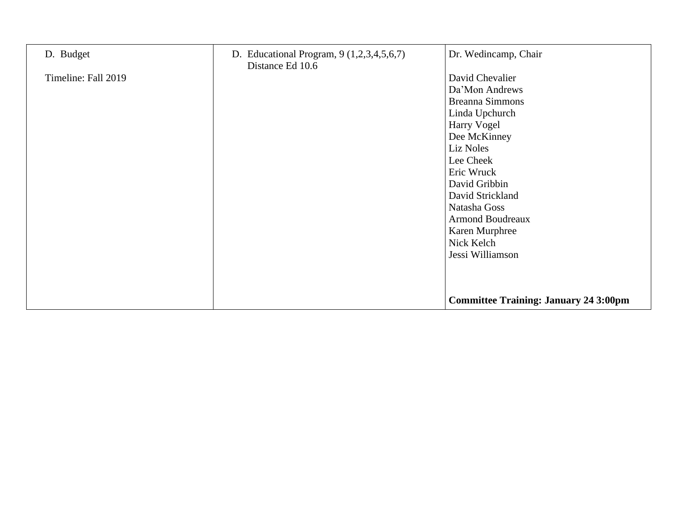| D. Budget           | D. Educational Program, 9 (1,2,3,4,5,6,7) | Dr. Wedincamp, Chair                                                                                                                                                                                                                                                                     |
|---------------------|-------------------------------------------|------------------------------------------------------------------------------------------------------------------------------------------------------------------------------------------------------------------------------------------------------------------------------------------|
| Timeline: Fall 2019 | Distance Ed 10.6                          | David Chevalier<br>Da'Mon Andrews<br><b>Breanna Simmons</b><br>Linda Upchurch<br>Harry Vogel<br>Dee McKinney<br>Liz Noles<br>Lee Cheek<br>Eric Wruck<br>David Gribbin<br>David Strickland<br>Natasha Goss<br><b>Armond Boudreaux</b><br>Karen Murphree<br>Nick Kelch<br>Jessi Williamson |
|                     |                                           | <b>Committee Training: January 24 3:00pm</b>                                                                                                                                                                                                                                             |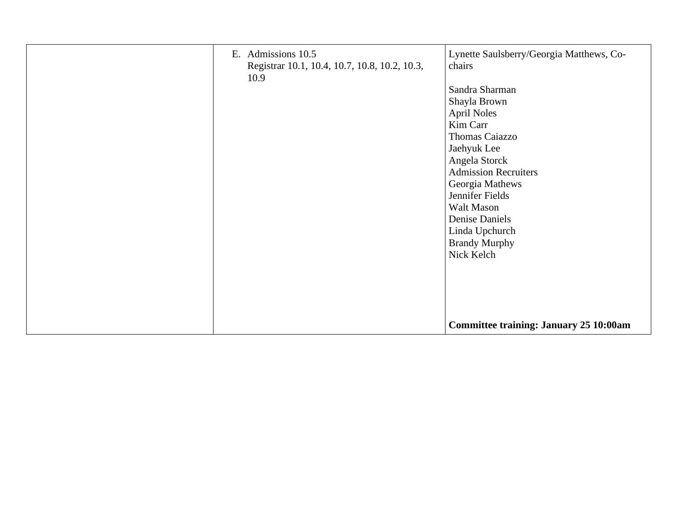| E. Admissions 10.5<br>Registrar 10.1, 10.4, 10.7, 10.8, 10.2, 10.3,<br>10.9 | Lynette Saulsberry/Georgia Matthews, Co-<br>chairs |
|-----------------------------------------------------------------------------|----------------------------------------------------|
|                                                                             | Sandra Sharman                                     |
|                                                                             | Shayla Brown                                       |
|                                                                             | <b>April Noles</b>                                 |
|                                                                             | Kim Carr                                           |
|                                                                             | Thomas Caiazzo                                     |
|                                                                             | Jaehyuk Lee                                        |
|                                                                             | Angela Storck                                      |
|                                                                             | <b>Admission Recruiters</b>                        |
|                                                                             | Georgia Mathews                                    |
|                                                                             | Jennifer Fields                                    |
|                                                                             | Walt Mason                                         |
|                                                                             | Denise Daniels                                     |
|                                                                             | Linda Upchurch                                     |
|                                                                             | <b>Brandy Murphy</b>                               |
|                                                                             | Nick Kelch                                         |
|                                                                             |                                                    |
|                                                                             |                                                    |
|                                                                             |                                                    |
|                                                                             |                                                    |
|                                                                             |                                                    |
|                                                                             | <b>Committee training: January 25 10:00am</b>      |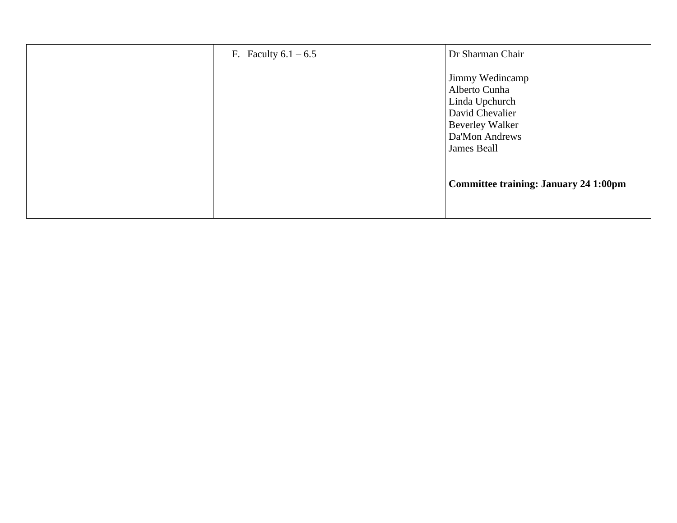| F. Faculty $6.1 - 6.5$ | Dr Sharman Chair                                                                                                                 |
|------------------------|----------------------------------------------------------------------------------------------------------------------------------|
|                        | Jimmy Wedincamp<br>Alberto Cunha<br>Linda Upchurch<br>David Chevalier<br><b>Beverley Walker</b><br>Da'Mon Andrews<br>James Beall |
|                        | <b>Committee training: January 24 1:00pm</b>                                                                                     |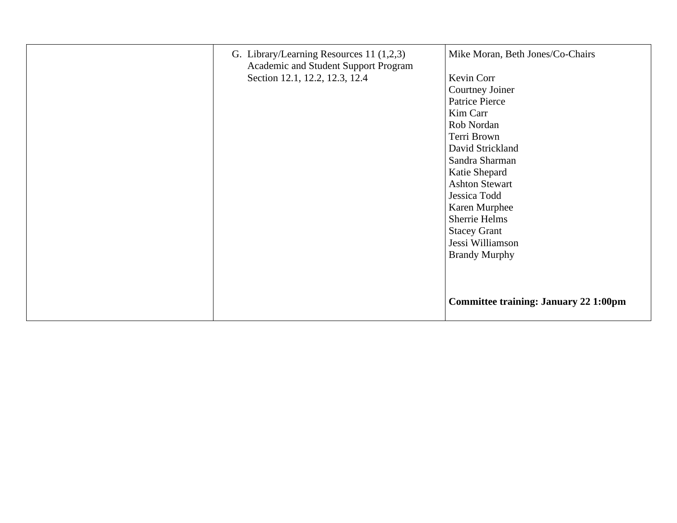| G. Library/Learning Resources 11 (1,2,3)<br>Academic and Student Support Program<br>Section 12.1, 12.2, 12.3, 12.4 | Mike Moran, Beth Jones/Co-Chairs<br>Kevin Corr<br>Courtney Joiner<br>Patrice Pierce<br>Kim Carr<br>Rob Nordan<br>Terri Brown<br>David Strickland<br>Sandra Sharman<br>Katie Shepard<br><b>Ashton Stewart</b><br>Jessica Todd<br>Karen Murphee<br>Sherrie Helms<br><b>Stacey Grant</b><br>Jessi Williamson<br><b>Brandy Murphy</b> |
|--------------------------------------------------------------------------------------------------------------------|-----------------------------------------------------------------------------------------------------------------------------------------------------------------------------------------------------------------------------------------------------------------------------------------------------------------------------------|
|                                                                                                                    | <b>Committee training: January 22 1:00pm</b>                                                                                                                                                                                                                                                                                      |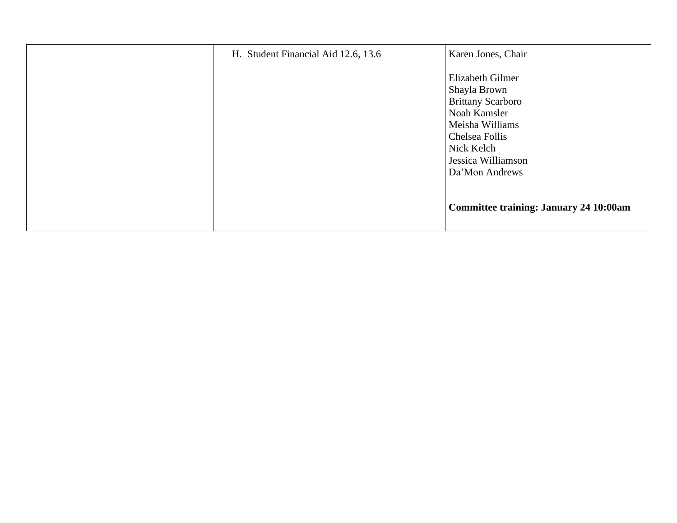| H. Student Financial Aid 12.6, 13.6 | Karen Jones, Chair                                                                                                                                    |
|-------------------------------------|-------------------------------------------------------------------------------------------------------------------------------------------------------|
|                                     | Elizabeth Gilmer<br>Shayla Brown<br><b>Brittany Scarboro</b><br>Noah Kamsler<br>Meisha Williams<br>Chelsea Follis<br>Nick Kelch<br>Jessica Williamson |
|                                     | Da'Mon Andrews<br><b>Committee training: January 24 10:00am</b>                                                                                       |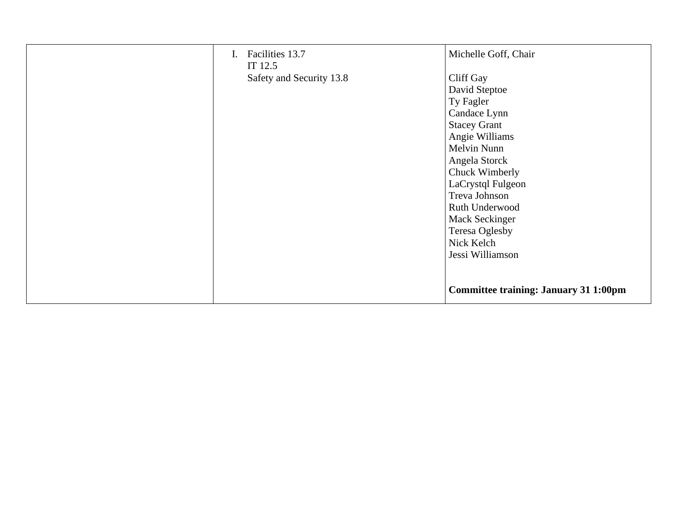| Facilities 13.7<br>Ι.<br>IT 12.5 | Michelle Goff, Chair                  |
|----------------------------------|---------------------------------------|
| Safety and Security 13.8         | Cliff Gay                             |
|                                  | David Steptoe                         |
|                                  | Ty Fagler                             |
|                                  | Candace Lynn                          |
|                                  | <b>Stacey Grant</b>                   |
|                                  | Angie Williams                        |
|                                  | Melvin Nunn                           |
|                                  | Angela Storck                         |
|                                  | Chuck Wimberly                        |
|                                  | LaCrystql Fulgeon                     |
|                                  | Treva Johnson                         |
|                                  | Ruth Underwood                        |
|                                  | <b>Mack Seckinger</b>                 |
|                                  | Teresa Oglesby                        |
|                                  | Nick Kelch                            |
|                                  | Jessi Williamson                      |
|                                  |                                       |
|                                  | Committee training: January 31 1:00pm |
|                                  |                                       |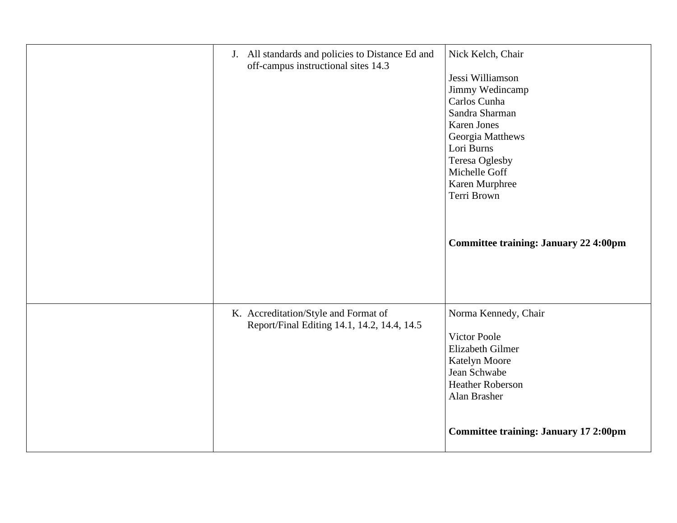| J. All standards and policies to Distance Ed and<br>off-campus instructional sites 14.3 | Nick Kelch, Chair<br>Jessi Williamson<br>Jimmy Wedincamp<br>Carlos Cunha<br>Sandra Sharman<br><b>Karen Jones</b><br>Georgia Matthews<br>Lori Burns<br>Teresa Oglesby<br>Michelle Goff<br>Karen Murphree<br>Terri Brown<br><b>Committee training: January 22 4:00pm</b> |
|-----------------------------------------------------------------------------------------|------------------------------------------------------------------------------------------------------------------------------------------------------------------------------------------------------------------------------------------------------------------------|
| K. Accreditation/Style and Format of<br>Report/Final Editing 14.1, 14.2, 14.4, 14.5     | Norma Kennedy, Chair<br><b>Victor Poole</b><br>Elizabeth Gilmer<br>Katelyn Moore<br>Jean Schwabe<br><b>Heather Roberson</b><br>Alan Brasher<br><b>Committee training: January 17 2:00pm</b>                                                                            |